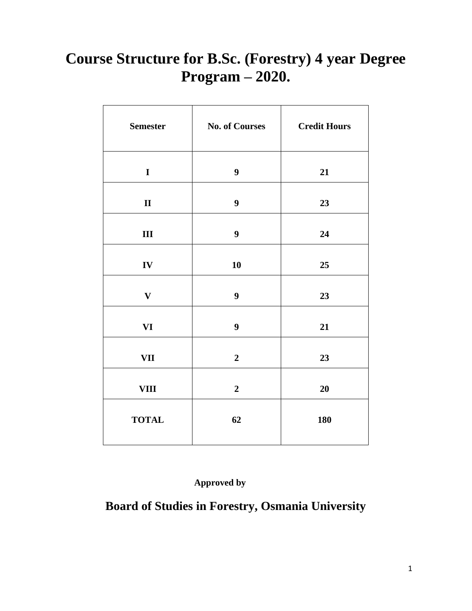## **Course Structure for B.Sc. (Forestry) 4 year Degree Program – 2020.**

| <b>Semester</b> | <b>No. of Courses</b> | <b>Credit Hours</b> |
|-----------------|-----------------------|---------------------|
| $\mathbf I$     | 9                     | 21                  |
| $\mathbf{I}$    | $\boldsymbol{9}$      | 23                  |
| $\mathbf{III}$  | $\boldsymbol{9}$      | 24                  |
| ${\bf IV}$      | 10                    | 25                  |
| $\mathbf{V}$    | $\boldsymbol{9}$      | 23                  |
| <b>VI</b>       | $\boldsymbol{9}$      | 21                  |
| <b>VII</b>      | $\overline{2}$        | 23                  |
| <b>VIII</b>     | $\overline{2}$        | 20                  |
| <b>TOTAL</b>    | 62                    | 180                 |

 **Approved by**

## **Board of Studies in Forestry, Osmania University**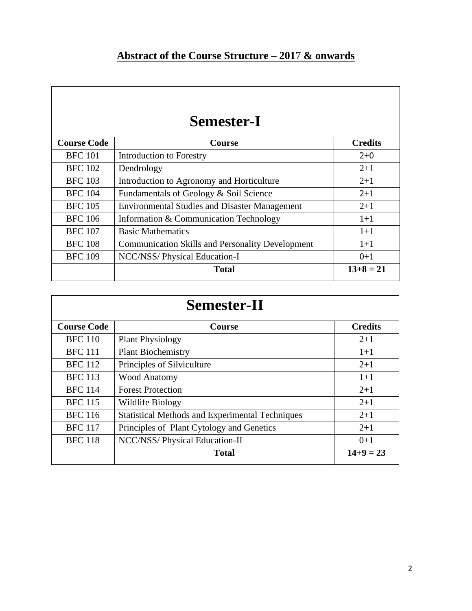## **Semester-I**

| <b>Course Code</b> | <b>Course</b>                                           | <b>Credits</b> |
|--------------------|---------------------------------------------------------|----------------|
| <b>BFC</b> 101     | <b>Introduction to Forestry</b>                         | $2+0$          |
| <b>BFC</b> 102     | Dendrology                                              | $2 + 1$        |
| <b>BFC</b> 103     | Introduction to Agronomy and Horticulture               | $2+1$          |
| <b>BFC</b> 104     | Fundamentals of Geology & Soil Science                  | $2 + 1$        |
| <b>BFC</b> 105     | <b>Environmental Studies and Disaster Management</b>    | $2 + 1$        |
| <b>BFC</b> 106     | Information & Communication Technology                  | $1+1$          |
| <b>BFC</b> 107     | <b>Basic Mathematics</b>                                | $1+1$          |
| <b>BFC 108</b>     | <b>Communication Skills and Personality Development</b> | $1+1$          |
| <b>BFC 109</b>     | NCC/NSS/ Physical Education-I                           | $0+1$          |
|                    | <b>Total</b>                                            | $13+8=21$      |
|                    |                                                         |                |

| <b>Semester-II</b> |                                                        |                |
|--------------------|--------------------------------------------------------|----------------|
| <b>Course Code</b> | <b>Course</b>                                          | <b>Credits</b> |
| <b>BFC</b> 110     | <b>Plant Physiology</b>                                | $2+1$          |
| <b>BFC</b> 111     | <b>Plant Biochemistry</b>                              | $1+1$          |
| <b>BFC</b> 112     | Principles of Silviculture                             | $2+1$          |
| <b>BFC</b> 113     | <b>Wood Anatomy</b>                                    | $1+1$          |
| <b>BFC</b> 114     | <b>Forest Protection</b>                               | $2+1$          |
| <b>BFC</b> 115     | Wildlife Biology                                       | $2 + 1$        |
| <b>BFC</b> 116     | <b>Statistical Methods and Experimental Techniques</b> | $2 + 1$        |
| <b>BFC</b> 117     | Principles of Plant Cytology and Genetics              | $2 + 1$        |
| <b>BFC 118</b>     | NCC/NSS/ Physical Education-II                         | $0+1$          |
|                    | <b>Total</b>                                           | $14+9=23$      |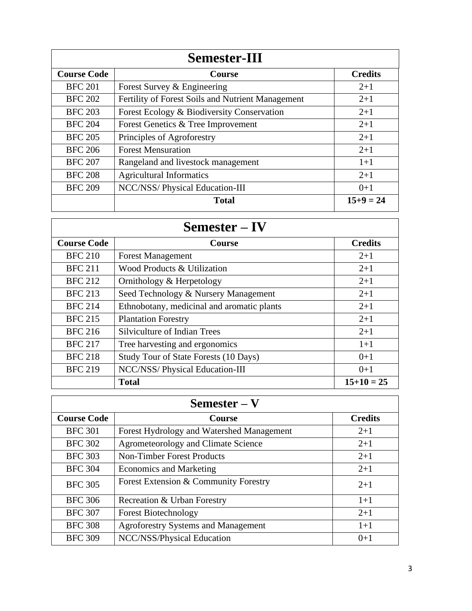| <b>Semester-III</b> |                                                   |                |
|---------------------|---------------------------------------------------|----------------|
| <b>Course Code</b>  | <b>Course</b>                                     | <b>Credits</b> |
| <b>BFC 201</b>      | Forest Survey & Engineering                       | $2+1$          |
| <b>BFC 202</b>      | Fertility of Forest Soils and Nutrient Management | $2 + 1$        |
| <b>BFC 203</b>      | Forest Ecology & Biodiversity Conservation        | $2+1$          |
| <b>BFC 204</b>      | Forest Genetics & Tree Improvement                | $2+1$          |
| <b>BFC 205</b>      | Principles of Agroforestry                        | $2+1$          |
| <b>BFC 206</b>      | <b>Forest Mensuration</b>                         | $2 + 1$        |
| <b>BFC 207</b>      | Rangeland and livestock management                | $1+1$          |
| <b>BFC 208</b>      | <b>Agricultural Informatics</b>                   | $2+1$          |
| <b>BFC 209</b>      | NCC/NSS/ Physical Education-III                   | $0+1$          |
|                     | <b>Total</b>                                      | $15+9=24$      |

| <b>Semester – IV</b> |                                            |                |
|----------------------|--------------------------------------------|----------------|
| <b>Course Code</b>   | <b>Course</b>                              | <b>Credits</b> |
| <b>BFC 210</b>       | <b>Forest Management</b>                   | $2+1$          |
| <b>BFC 211</b>       | Wood Products & Utilization                | $2+1$          |
| <b>BFC 212</b>       | Ornithology & Herpetology                  | $2+1$          |
| <b>BFC 213</b>       | Seed Technology & Nursery Management       | $2+1$          |
| <b>BFC 214</b>       | Ethnobotany, medicinal and aromatic plants | $2+1$          |
| <b>BFC 215</b>       | <b>Plantation Forestry</b>                 | $2 + 1$        |
| <b>BFC 216</b>       | Silviculture of Indian Trees               | $2+1$          |
| <b>BFC 217</b>       | Tree harvesting and ergonomics             | $1+1$          |
| <b>BFC 218</b>       | Study Tour of State Forests (10 Days)      | $0+1$          |
| <b>BFC 219</b>       | NCC/NSS/ Physical Education-III            | $0+1$          |
|                      | <b>Total</b>                               | $15+10=25$     |

| $Semester-V$       |                                            |                |
|--------------------|--------------------------------------------|----------------|
| <b>Course Code</b> | <b>Course</b>                              | <b>Credits</b> |
| <b>BFC 301</b>     | Forest Hydrology and Watershed Management  | $2+1$          |
| <b>BFC 302</b>     | Agrometeorology and Climate Science        | $2+1$          |
| <b>BFC 303</b>     | <b>Non-Timber Forest Products</b>          | $2+1$          |
| <b>BFC 304</b>     | <b>Economics and Marketing</b>             | $2+1$          |
| <b>BFC 305</b>     | Forest Extension & Community Forestry      | $2+1$          |
| <b>BFC 306</b>     | Recreation & Urban Forestry                | $1+1$          |
| <b>BFC 307</b>     | <b>Forest Biotechnology</b>                | $2+1$          |
| <b>BFC 308</b>     | <b>Agroforestry Systems and Management</b> | $1+1$          |
| <b>BFC 309</b>     | NCC/NSS/Physical Education                 | $0+1$          |